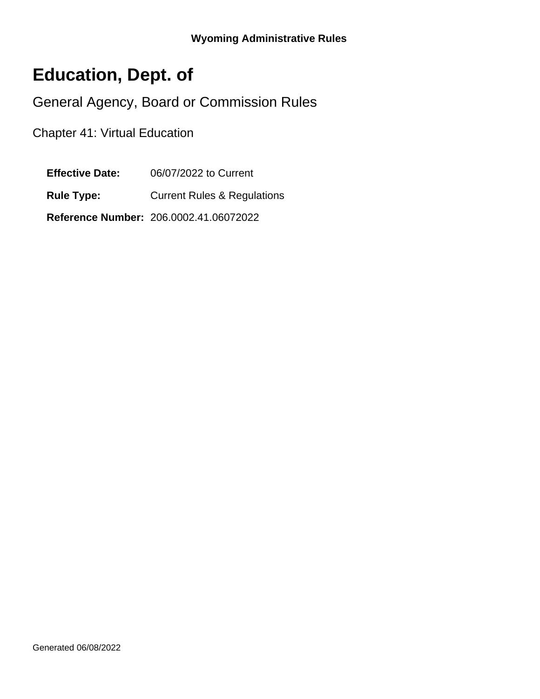# **Education, Dept. of**

General Agency, Board or Commission Rules

Chapter 41: Virtual Education

**Effective Date:** 06/07/2022 to Current

**Rule Type:** Current Rules & Regulations

**Reference Number:** 206.0002.41.06072022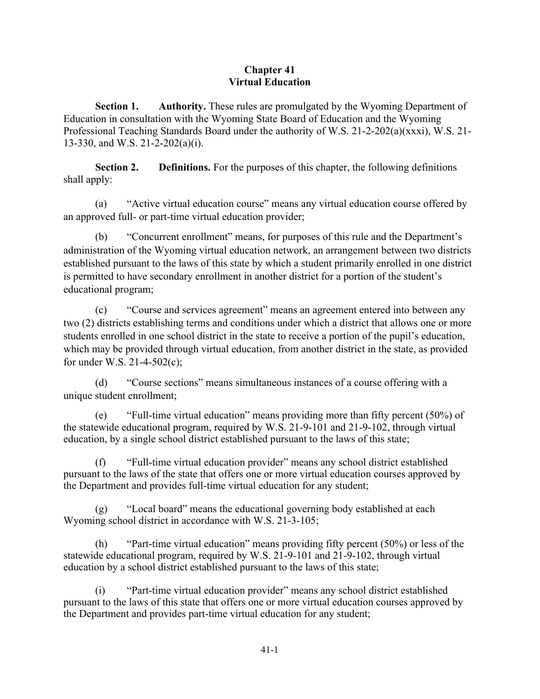#### **Chapter 41 Virtual Education**

**Section 1.** Authority. These rules are promulgated by the Wyoming Department of Education in consultation with the Wyoming State Board of Education and the Wyoming Professional Teaching Standards Board under the authority of W.S. 21-2-202(a)(xxxi), W.S. 21- 13-330, and W.S. 21-2-202(a)(i).

**Section 2.** Definitions. For the purposes of this chapter, the following definitions shall apply:

(a) "Active virtual education course" means any virtual education course offered by an approved full- or part-time virtual education provider;

(b) "Concurrent enrollment" means, for purposes of this rule and the Department's administration of the Wyoming virtual education network, an arrangement between two districts established pursuant to the laws of this state by which a student primarily enrolled in one district is permitted to have secondary enrollment in another district for a portion of the student's educational program;

(c) "Course and services agreement" means an agreement entered into between any two (2) districts establishing terms and conditions under which a district that allows one or more students enrolled in one school district in the state to receive a portion of the pupil's education, which may be provided through virtual education, from another district in the state, as provided for under W.S. 21-4-502(c);

(d) "Course sections" means simultaneous instances of a course offering with a unique student enrollment;

(e) "Full-time virtual education" means providing more than fifty percent (50%) of the statewide educational program, required by W.S. 21-9-101 and 21-9-102, through virtual education, by a single school district established pursuant to the laws of this state;

(f) "Full-time virtual education provider" means any school district established pursuant to the laws of the state that offers one or more virtual education courses approved by the Department and provides full-time virtual education for any student;

(g) "Local board" means the educational governing body established at each Wyoming school district in accordance with W.S. 21-3-105;

(h) "Part-time virtual education" means providing fifty percent (50%) or less of the statewide educational program, required by W.S. 21-9-101 and 21-9-102, through virtual education by a school district established pursuant to the laws of this state;

(i) "Part-time virtual education provider" means any school district established pursuant to the laws of this state that offers one or more virtual education courses approved by the Department and provides part-time virtual education for any student;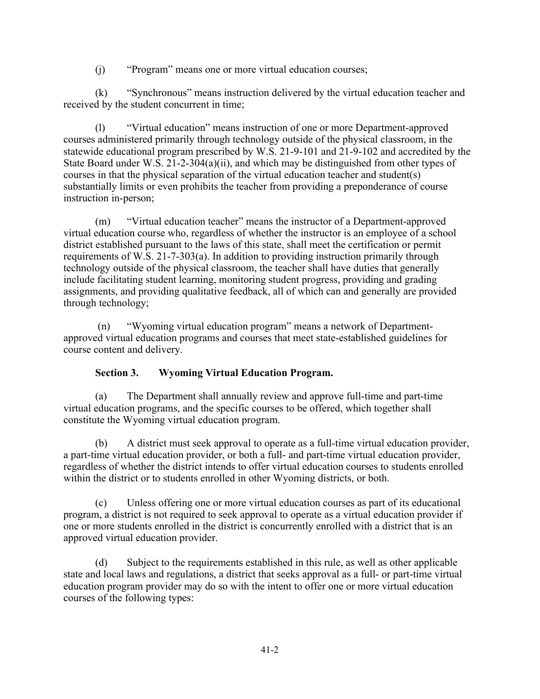(j) "Program" means one or more virtual education courses;

(k) "Synchronous" means instruction delivered by the virtual education teacher and received by the student concurrent in time;

(l) "Virtual education" means instruction of one or more Department-approved courses administered primarily through technology outside of the physical classroom, in the statewide educational program prescribed by W.S. 21-9-101 and 21-9-102 and accredited by the State Board under W.S. 21-2-304(a)(ii), and which may be distinguished from other types of courses in that the physical separation of the virtual education teacher and student(s) substantially limits or even prohibits the teacher from providing a preponderance of course instruction in-person;

(m) "Virtual education teacher" means the instructor of a Department-approved virtual education course who, regardless of whether the instructor is an employee of a school district established pursuant to the laws of this state, shall meet the certification or permit requirements of W.S. 21-7-303(a). In addition to providing instruction primarily through technology outside of the physical classroom, the teacher shall have duties that generally include facilitating student learning, monitoring student progress, providing and grading assignments, and providing qualitative feedback, all of which can and generally are provided through technology;

 (n) "Wyoming virtual education program" means a network of Departmentapproved virtual education programs and courses that meet state-established guidelines for course content and delivery.

## **Section 3. Wyoming Virtual Education Program.**

(a) The Department shall annually review and approve full-time and part-time virtual education programs, and the specific courses to be offered, which together shall constitute the Wyoming virtual education program.

(b) A district must seek approval to operate as a full-time virtual education provider, a part-time virtual education provider, or both a full- and part-time virtual education provider, regardless of whether the district intends to offer virtual education courses to students enrolled within the district or to students enrolled in other Wyoming districts, or both.

(c) Unless offering one or more virtual education courses as part of its educational program, a district is not required to seek approval to operate as a virtual education provider if one or more students enrolled in the district is concurrently enrolled with a district that is an approved virtual education provider.

(d) Subject to the requirements established in this rule, as well as other applicable state and local laws and regulations, a district that seeks approval as a full- or part-time virtual education program provider may do so with the intent to offer one or more virtual education courses of the following types: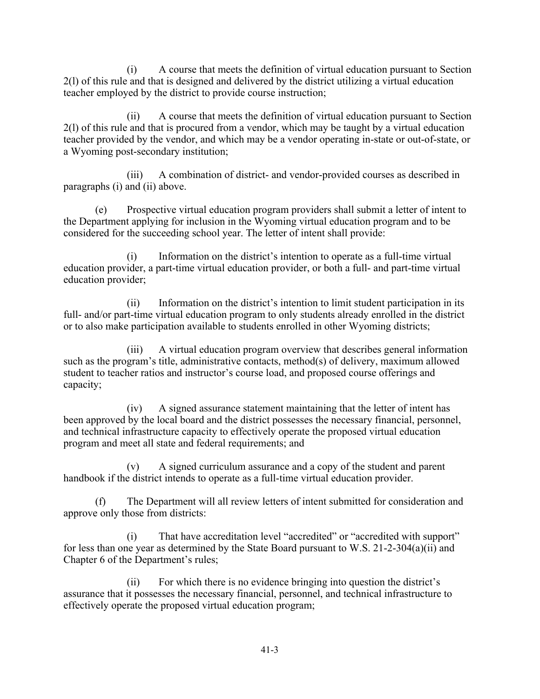(i) A course that meets the definition of virtual education pursuant to Section 2(l) of this rule and that is designed and delivered by the district utilizing a virtual education teacher employed by the district to provide course instruction;

(ii) A course that meets the definition of virtual education pursuant to Section 2(l) of this rule and that is procured from a vendor, which may be taught by a virtual education teacher provided by the vendor, and which may be a vendor operating in-state or out-of-state, or a Wyoming post-secondary institution;

(iii) A combination of district- and vendor-provided courses as described in paragraphs (i) and (ii) above.

(e) Prospective virtual education program providers shall submit a letter of intent to the Department applying for inclusion in the Wyoming virtual education program and to be considered for the succeeding school year. The letter of intent shall provide:

(i) Information on the district's intention to operate as a full-time virtual education provider, a part-time virtual education provider, or both a full- and part-time virtual education provider;

(ii) Information on the district's intention to limit student participation in its full- and/or part-time virtual education program to only students already enrolled in the district or to also make participation available to students enrolled in other Wyoming districts;

(iii) A virtual education program overview that describes general information such as the program's title, administrative contacts, method(s) of delivery, maximum allowed student to teacher ratios and instructor's course load, and proposed course offerings and capacity;

(iv) A signed assurance statement maintaining that the letter of intent has been approved by the local board and the district possesses the necessary financial, personnel, and technical infrastructure capacity to effectively operate the proposed virtual education program and meet all state and federal requirements; and

(v) A signed curriculum assurance and a copy of the student and parent handbook if the district intends to operate as a full-time virtual education provider.

(f) The Department will all review letters of intent submitted for consideration and approve only those from districts:

(i) That have accreditation level "accredited" or "accredited with support" for less than one year as determined by the State Board pursuant to W.S. 21-2-304(a)(ii) and Chapter 6 of the Department's rules;

(ii) For which there is no evidence bringing into question the district's assurance that it possesses the necessary financial, personnel, and technical infrastructure to effectively operate the proposed virtual education program;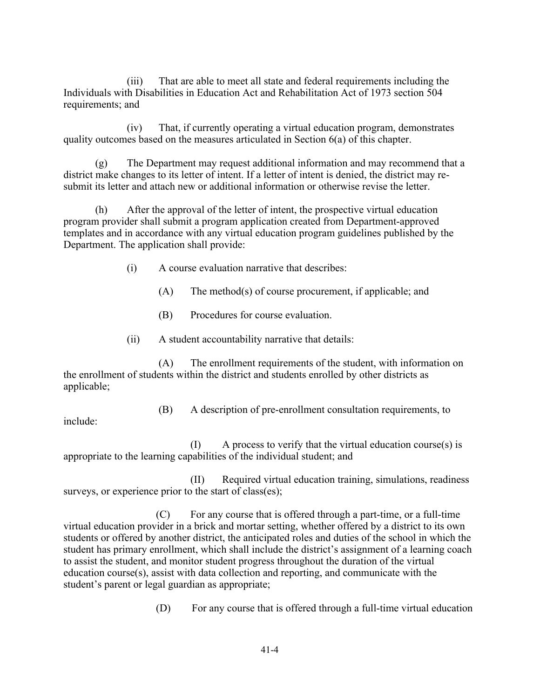(iii) That are able to meet all state and federal requirements including the Individuals with Disabilities in Education Act and Rehabilitation Act of 1973 section 504 requirements; and

(iv) That, if currently operating a virtual education program, demonstrates quality outcomes based on the measures articulated in Section 6(a) of this chapter.

(g) The Department may request additional information and may recommend that a district make changes to its letter of intent. If a letter of intent is denied, the district may resubmit its letter and attach new or additional information or otherwise revise the letter.

(h) After the approval of the letter of intent, the prospective virtual education program provider shall submit a program application created from Department-approved templates and in accordance with any virtual education program guidelines published by the Department. The application shall provide:

- (i) A course evaluation narrative that describes:
	- (A) The method(s) of course procurement, if applicable; and
	- (B) Procedures for course evaluation.
- (ii) A student accountability narrative that details:

(A) The enrollment requirements of the student, with information on the enrollment of students within the district and students enrolled by other districts as applicable;

(B) A description of pre-enrollment consultation requirements, to

include:

 $(I)$  A process to verify that the virtual education course(s) is appropriate to the learning capabilities of the individual student; and

(II) Required virtual education training, simulations, readiness surveys, or experience prior to the start of class(es);

 (C) For any course that is offered through a part-time, or a full-time virtual education provider in a brick and mortar setting, whether offered by a district to its own students or offered by another district, the anticipated roles and duties of the school in which the student has primary enrollment, which shall include the district's assignment of a learning coach to assist the student, and monitor student progress throughout the duration of the virtual education course(s), assist with data collection and reporting, and communicate with the student's parent or legal guardian as appropriate;

(D) For any course that is offered through a full-time virtual education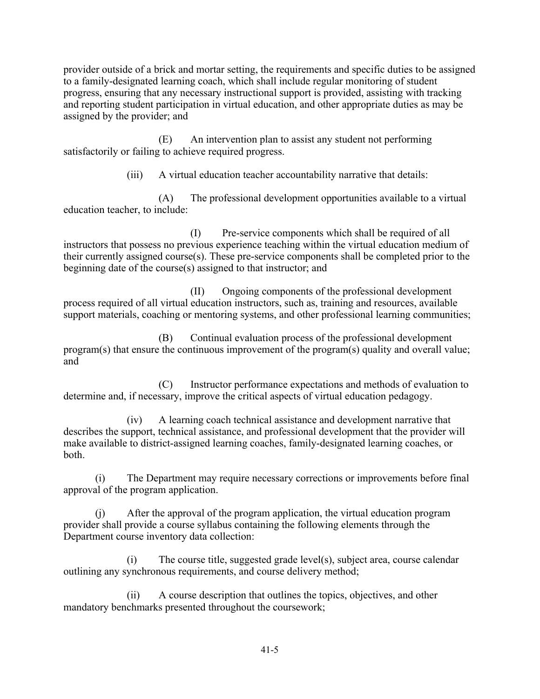provider outside of a brick and mortar setting, the requirements and specific duties to be assigned to a family-designated learning coach, which shall include regular monitoring of student progress, ensuring that any necessary instructional support is provided, assisting with tracking and reporting student participation in virtual education, and other appropriate duties as may be assigned by the provider; and

(E) An intervention plan to assist any student not performing satisfactorily or failing to achieve required progress.

(iii) A virtual education teacher accountability narrative that details:

(A) The professional development opportunities available to a virtual education teacher, to include:

(I) Pre-service components which shall be required of all instructors that possess no previous experience teaching within the virtual education medium of their currently assigned course(s). These pre-service components shall be completed prior to the beginning date of the course(s) assigned to that instructor; and

(II) Ongoing components of the professional development process required of all virtual education instructors, such as, training and resources, available support materials, coaching or mentoring systems, and other professional learning communities;

(B) Continual evaluation process of the professional development program(s) that ensure the continuous improvement of the program(s) quality and overall value; and

(C) Instructor performance expectations and methods of evaluation to determine and, if necessary, improve the critical aspects of virtual education pedagogy.

(iv) A learning coach technical assistance and development narrative that describes the support, technical assistance, and professional development that the provider will make available to district-assigned learning coaches, family-designated learning coaches, or both.

(i) The Department may require necessary corrections or improvements before final approval of the program application.

(j) After the approval of the program application, the virtual education program provider shall provide a course syllabus containing the following elements through the Department course inventory data collection:

(i) The course title, suggested grade level(s), subject area, course calendar outlining any synchronous requirements, and course delivery method;

(ii) A course description that outlines the topics, objectives, and other mandatory benchmarks presented throughout the coursework;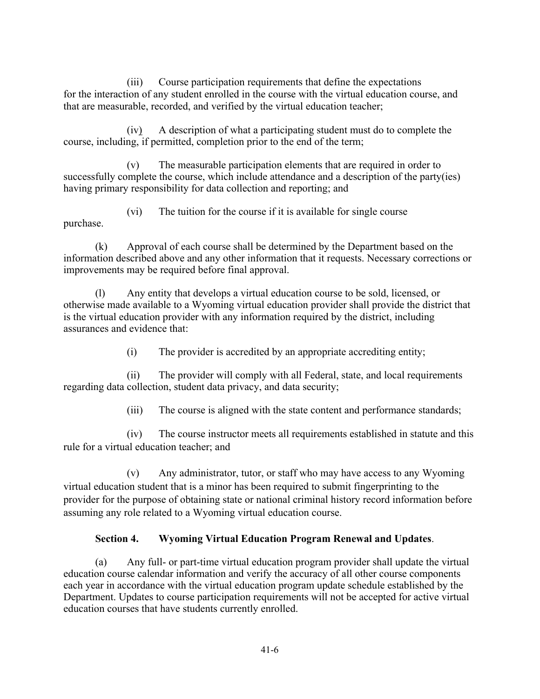(iii) Course participation requirements that define the expectations for the interaction of any student enrolled in the course with the virtual education course, and that are measurable, recorded, and verified by the virtual education teacher;

(iv) A description of what a participating student must do to complete the course, including, if permitted, completion prior to the end of the term;

(v) The measurable participation elements that are required in order to successfully complete the course, which include attendance and a description of the party(ies) having primary responsibility for data collection and reporting; and

(vi) The tuition for the course if it is available for single course purchase.

(k) Approval of each course shall be determined by the Department based on the information described above and any other information that it requests. Necessary corrections or improvements may be required before final approval.

Any entity that develops a virtual education course to be sold, licensed, or otherwise made available to a Wyoming virtual education provider shall provide the district that is the virtual education provider with any information required by the district, including assurances and evidence that:

(i) The provider is accredited by an appropriate accrediting entity;

(ii) The provider will comply with all Federal, state, and local requirements regarding data collection, student data privacy, and data security;

(iii) The course is aligned with the state content and performance standards;

(iv) The course instructor meets all requirements established in statute and this rule for a virtual education teacher; and

(v) Any administrator, tutor, or staff who may have access to any Wyoming virtual education student that is a minor has been required to submit fingerprinting to the provider for the purpose of obtaining state or national criminal history record information before assuming any role related to a Wyoming virtual education course.

# **Section 4. Wyoming Virtual Education Program Renewal and Updates**.

(a) Any full- or part-time virtual education program provider shall update the virtual education course calendar information and verify the accuracy of all other course components each year in accordance with the virtual education program update schedule established by the Department. Updates to course participation requirements will not be accepted for active virtual education courses that have students currently enrolled.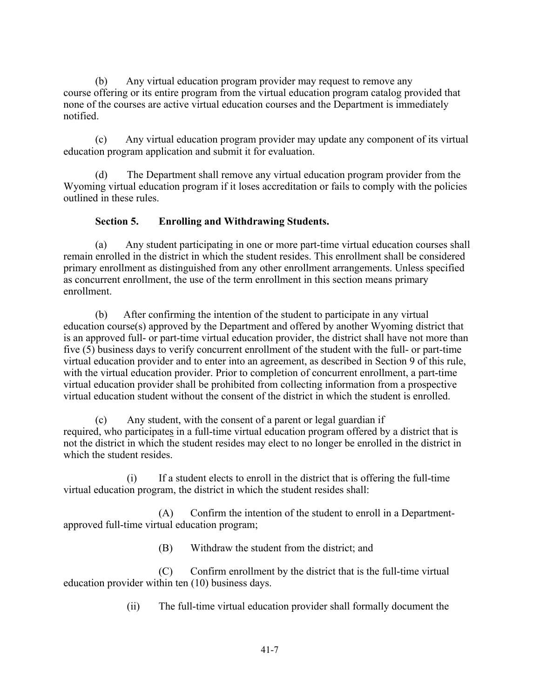(b) Any virtual education program provider may request to remove any course offering or its entire program from the virtual education program catalog provided that none of the courses are active virtual education courses and the Department is immediately notified.

(c) Any virtual education program provider may update any component of its virtual education program application and submit it for evaluation.

(d) The Department shall remove any virtual education program provider from the Wyoming virtual education program if it loses accreditation or fails to comply with the policies outlined in these rules.

## **Section 5. Enrolling and Withdrawing Students.**

(a) Any student participating in one or more part-time virtual education courses shall remain enrolled in the district in which the student resides. This enrollment shall be considered primary enrollment as distinguished from any other enrollment arrangements. Unless specified as concurrent enrollment, the use of the term enrollment in this section means primary enrollment.

(b) After confirming the intention of the student to participate in any virtual education course(s) approved by the Department and offered by another Wyoming district that is an approved full- or part-time virtual education provider, the district shall have not more than five (5) business days to verify concurrent enrollment of the student with the full- or part-time virtual education provider and to enter into an agreement, as described in Section 9 of this rule, with the virtual education provider. Prior to completion of concurrent enrollment, a part-time virtual education provider shall be prohibited from collecting information from a prospective virtual education student without the consent of the district in which the student is enrolled.

(c) Any student, with the consent of a parent or legal guardian if required, who participates in a full-time virtual education program offered by a district that is not the district in which the student resides may elect to no longer be enrolled in the district in which the student resides.

(i) If a student elects to enroll in the district that is offering the full-time virtual education program, the district in which the student resides shall:

(A) Confirm the intention of the student to enroll in a Departmentapproved full-time virtual education program;

(B) Withdraw the student from the district; and

(C) Confirm enrollment by the district that is the full-time virtual education provider within ten (10) business days.

(ii) The full-time virtual education provider shall formally document the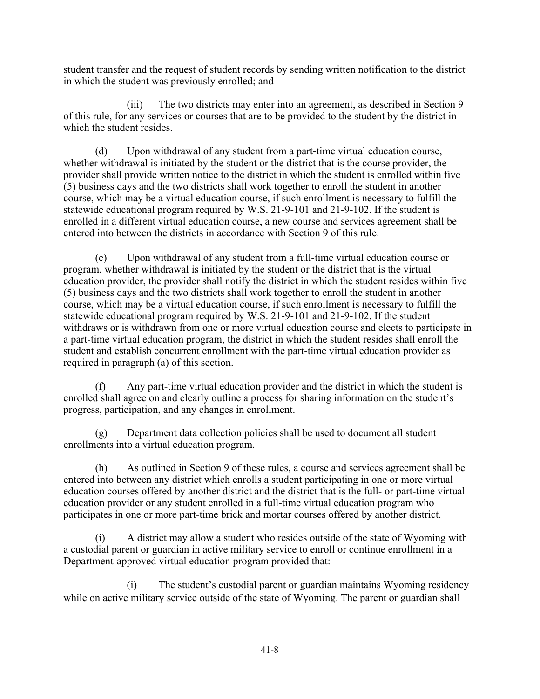student transfer and the request of student records by sending written notification to the district in which the student was previously enrolled; and

(iii) The two districts may enter into an agreement, as described in Section 9 of this rule, for any services or courses that are to be provided to the student by the district in which the student resides.

(d) Upon withdrawal of any student from a part-time virtual education course, whether withdrawal is initiated by the student or the district that is the course provider, the provider shall provide written notice to the district in which the student is enrolled within five (5) business days and the two districts shall work together to enroll the student in another course, which may be a virtual education course, if such enrollment is necessary to fulfill the statewide educational program required by W.S. 21-9-101 and 21-9-102. If the student is enrolled in a different virtual education course, a new course and services agreement shall be entered into between the districts in accordance with Section 9 of this rule.

(e) Upon withdrawal of any student from a full-time virtual education course or program, whether withdrawal is initiated by the student or the district that is the virtual education provider, the provider shall notify the district in which the student resides within five (5) business days and the two districts shall work together to enroll the student in another course, which may be a virtual education course, if such enrollment is necessary to fulfill the statewide educational program required by W.S. 21-9-101 and 21-9-102. If the student withdraws or is withdrawn from one or more virtual education course and elects to participate in a part-time virtual education program, the district in which the student resides shall enroll the student and establish concurrent enrollment with the part-time virtual education provider as required in paragraph (a) of this section.

Any part-time virtual education provider and the district in which the student is enrolled shall agree on and clearly outline a process for sharing information on the student's progress, participation, and any changes in enrollment.

(g) Department data collection policies shall be used to document all student enrollments into a virtual education program.

(h) As outlined in Section 9 of these rules, a course and services agreement shall be entered into between any district which enrolls a student participating in one or more virtual education courses offered by another district and the district that is the full- or part-time virtual education provider or any student enrolled in a full-time virtual education program who participates in one or more part-time brick and mortar courses offered by another district.

(i) A district may allow a student who resides outside of the state of Wyoming with a custodial parent or guardian in active military service to enroll or continue enrollment in a Department-approved virtual education program provided that:

(i) The student's custodial parent or guardian maintains Wyoming residency while on active military service outside of the state of Wyoming. The parent or guardian shall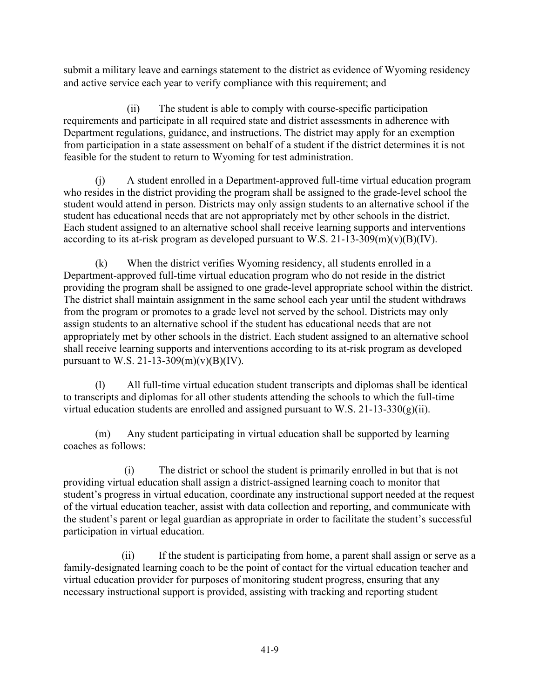submit a military leave and earnings statement to the district as evidence of Wyoming residency and active service each year to verify compliance with this requirement; and

(ii) The student is able to comply with course-specific participation requirements and participate in all required state and district assessments in adherence with Department regulations, guidance, and instructions. The district may apply for an exemption from participation in a state assessment on behalf of a student if the district determines it is not feasible for the student to return to Wyoming for test administration.

(j) A student enrolled in a Department-approved full-time virtual education program who resides in the district providing the program shall be assigned to the grade-level school the student would attend in person. Districts may only assign students to an alternative school if the student has educational needs that are not appropriately met by other schools in the district. Each student assigned to an alternative school shall receive learning supports and interventions according to its at-risk program as developed pursuant to W.S. 21-13-309 $(m)(v)(B)(IV)$ .

(k) When the district verifies Wyoming residency, all students enrolled in a Department-approved full-time virtual education program who do not reside in the district providing the program shall be assigned to one grade-level appropriate school within the district. The district shall maintain assignment in the same school each year until the student withdraws from the program or promotes to a grade level not served by the school. Districts may only assign students to an alternative school if the student has educational needs that are not appropriately met by other schools in the district. Each student assigned to an alternative school shall receive learning supports and interventions according to its at-risk program as developed pursuant to W.S. 21-13-309(m)(v)(B)(IV).

(l) All full-time virtual education student transcripts and diplomas shall be identical to transcripts and diplomas for all other students attending the schools to which the full-time virtual education students are enrolled and assigned pursuant to W.S. 21-13-330 $(g)(ii)$ .

(m) Any student participating in virtual education shall be supported by learning coaches as follows:

 (i) The district or school the student is primarily enrolled in but that is not providing virtual education shall assign a district-assigned learning coach to monitor that student's progress in virtual education, coordinate any instructional support needed at the request of the virtual education teacher, assist with data collection and reporting, and communicate with the student's parent or legal guardian as appropriate in order to facilitate the student's successful participation in virtual education.

 (ii) If the student is participating from home, a parent shall assign or serve as a family-designated learning coach to be the point of contact for the virtual education teacher and virtual education provider for purposes of monitoring student progress, ensuring that any necessary instructional support is provided, assisting with tracking and reporting student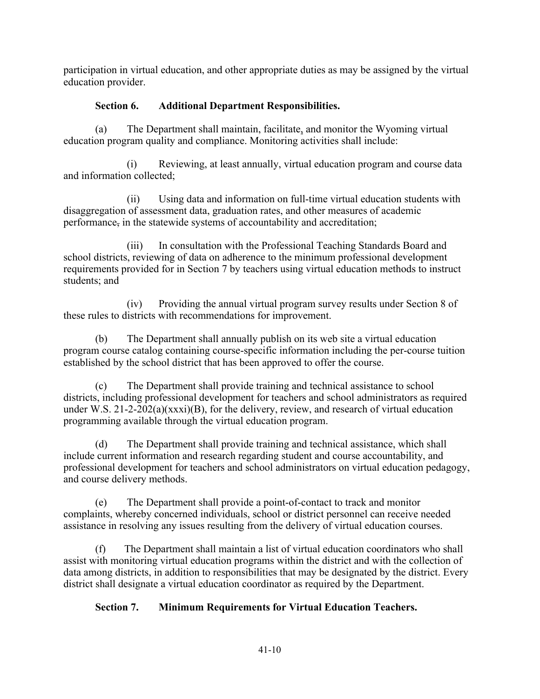participation in virtual education, and other appropriate duties as may be assigned by the virtual education provider.

## **Section 6. Additional Department Responsibilities.**

(a) The Department shall maintain, facilitate, and monitor the Wyoming virtual education program quality and compliance. Monitoring activities shall include:

(i) Reviewing, at least annually, virtual education program and course data and information collected;

(ii) Using data and information on full-time virtual education students with disaggregation of assessment data, graduation rates, and other measures of academic performance, in the statewide systems of accountability and accreditation;

(iii) In consultation with the Professional Teaching Standards Board and school districts, reviewing of data on adherence to the minimum professional development requirements provided for in Section 7 by teachers using virtual education methods to instruct students; and

(iv) Providing the annual virtual program survey results under Section 8 of these rules to districts with recommendations for improvement.

(b) The Department shall annually publish on its web site a virtual education program course catalog containing course-specific information including the per-course tuition established by the school district that has been approved to offer the course.

(c) The Department shall provide training and technical assistance to school districts, including professional development for teachers and school administrators as required under W.S.  $21-2-202(a)(xxx)(B)$ , for the delivery, review, and research of virtual education programming available through the virtual education program.

(d) The Department shall provide training and technical assistance, which shall include current information and research regarding student and course accountability, and professional development for teachers and school administrators on virtual education pedagogy, and course delivery methods.

(e) The Department shall provide a point-of-contact to track and monitor complaints, whereby concerned individuals, school or district personnel can receive needed assistance in resolving any issues resulting from the delivery of virtual education courses.

(f) The Department shall maintain a list of virtual education coordinators who shall assist with monitoring virtual education programs within the district and with the collection of data among districts, in addition to responsibilities that may be designated by the district. Every district shall designate a virtual education coordinator as required by the Department.

# **Section 7. Minimum Requirements for Virtual Education Teachers.**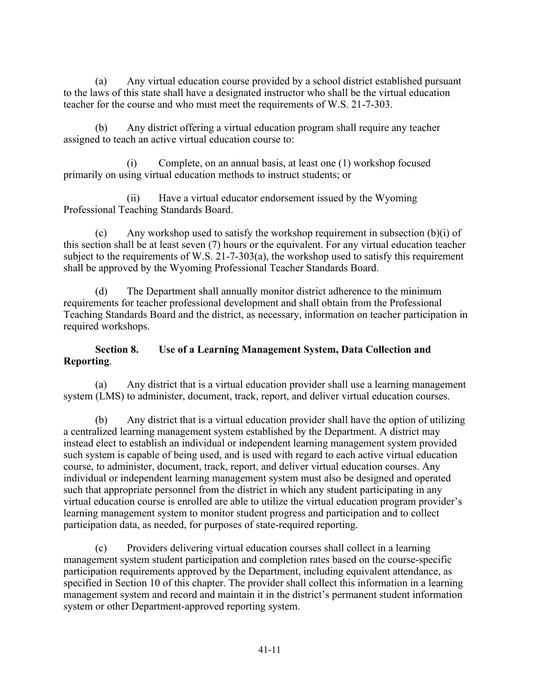(a) Any virtual education course provided by a school district established pursuant to the laws of this state shall have a designated instructor who shall be the virtual education teacher for the course and who must meet the requirements of W.S. 21-7-303.

Any district offering a virtual education program shall require any teacher assigned to teach an active virtual education course to:

Complete, on an annual basis, at least one (1) workshop focused primarily on using virtual education methods to instruct students; or

(ii) Have a virtual educator endorsement issued by the Wyoming Professional Teaching Standards Board.

(c) Any workshop used to satisfy the workshop requirement in subsection  $(b)(i)$  of this section shall be at least seven (7) hours or the equivalent. For any virtual education teacher subject to the requirements of W.S. 21-7-303(a), the workshop used to satisfy this requirement shall be approved by the Wyoming Professional Teacher Standards Board.

(d) The Department shall annually monitor district adherence to the minimum requirements for teacher professional development and shall obtain from the Professional Teaching Standards Board and the district, as necessary, information on teacher participation in required workshops.

## **Section 8. Use of a Learning Management System, Data Collection and Reporting**.

(a) Any district that is a virtual education provider shall use a learning management system (LMS) to administer, document, track, report, and deliver virtual education courses.

(b) Any district that is a virtual education provider shall have the option of utilizing a centralized learning management system established by the Department. A district may instead elect to establish an individual or independent learning management system provided such system is capable of being used, and is used with regard to each active virtual education course, to administer, document, track, report, and deliver virtual education courses. Any individual or independent learning management system must also be designed and operated such that appropriate personnel from the district in which any student participating in any virtual education course is enrolled are able to utilize the virtual education program provider's learning management system to monitor student progress and participation and to collect participation data, as needed, for purposes of state-required reporting.

(c) Providers delivering virtual education courses shall collect in a learning management system student participation and completion rates based on the course-specific participation requirements approved by the Department, including equivalent attendance, as specified in Section 10 of this chapter. The provider shall collect this information in a learning management system and record and maintain it in the district's permanent student information system or other Department-approved reporting system.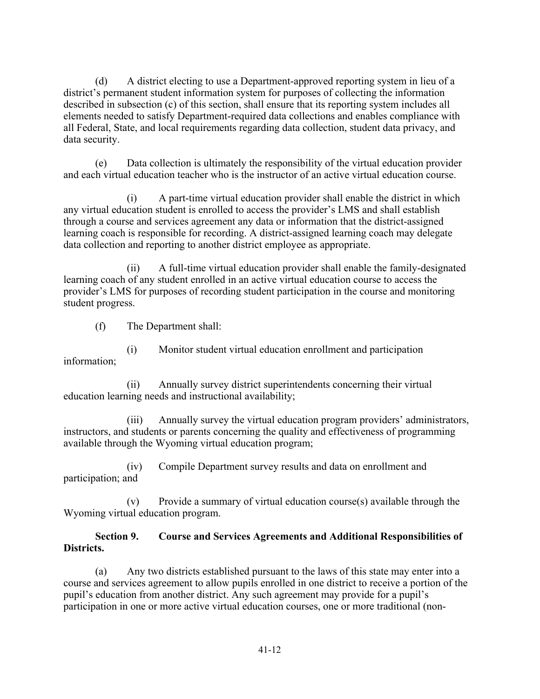(d) A district electing to use a Department-approved reporting system in lieu of a district's permanent student information system for purposes of collecting the information described in subsection (c) of this section, shall ensure that its reporting system includes all elements needed to satisfy Department-required data collections and enables compliance with all Federal, State, and local requirements regarding data collection, student data privacy, and data security.

(e) Data collection is ultimately the responsibility of the virtual education provider and each virtual education teacher who is the instructor of an active virtual education course.

(i) A part-time virtual education provider shall enable the district in which any virtual education student is enrolled to access the provider's LMS and shall establish through a course and services agreement any data or information that the district-assigned learning coach is responsible for recording. A district-assigned learning coach may delegate data collection and reporting to another district employee as appropriate.

(ii) A full-time virtual education provider shall enable the family-designated learning coach of any student enrolled in an active virtual education course to access the provider's LMS for purposes of recording student participation in the course and monitoring student progress.

(f) The Department shall:

(i) Monitor student virtual education enrollment and participation information;

(ii) Annually survey district superintendents concerning their virtual education learning needs and instructional availability;

(iii) Annually survey the virtual education program providers' administrators, instructors, and students or parents concerning the quality and effectiveness of programming available through the Wyoming virtual education program;

(iv) Compile Department survey results and data on enrollment and participation; and

(v) Provide a summary of virtual education course(s) available through the Wyoming virtual education program.

## **Section 9. Course and Services Agreements and Additional Responsibilities of Districts.**

(a) Any two districts established pursuant to the laws of this state may enter into a course and services agreement to allow pupils enrolled in one district to receive a portion of the pupil's education from another district. Any such agreement may provide for a pupil's participation in one or more active virtual education courses, one or more traditional (non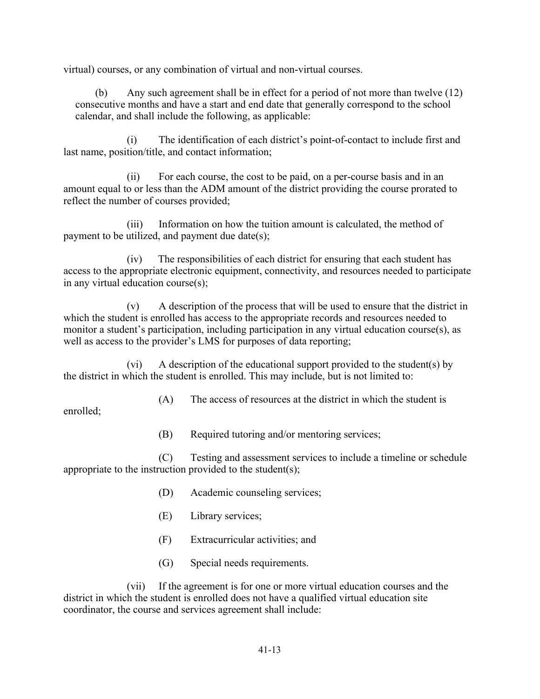virtual) courses, or any combination of virtual and non-virtual courses.

(b) Any such agreement shall be in effect for a period of not more than twelve (12) consecutive months and have a start and end date that generally correspond to the school calendar, and shall include the following, as applicable:

(i) The identification of each district's point-of-contact to include first and last name, position/title, and contact information;

(ii) For each course, the cost to be paid, on a per-course basis and in an amount equal to or less than the ADM amount of the district providing the course prorated to reflect the number of courses provided;

 $(iii)$ Information on how the tuition amount is calculated, the method of payment to be utilized, and payment due date $(s)$ ;

(iv) The responsibilities of each district for ensuring that each student has access to the appropriate electronic equipment, connectivity, and resources needed to participate in any virtual education course(s);

(v) A description of the process that will be used to ensure that the district in which the student is enrolled has access to the appropriate records and resources needed to monitor a student's participation, including participation in any virtual education course(s), as well as access to the provider's LMS for purposes of data reporting;

(vi) A description of the educational support provided to the student(s) by the district in which the student is enrolled. This may include, but is not limited to:

(A) The access of resources at the district in which the student is

enrolled;

(B) Required tutoring and/or mentoring services;

(C) Testing and assessment services to include a timeline or schedule appropriate to the instruction provided to the student(s);

- (D) Academic counseling services;
- (E) Library services;
- (F) Extracurricular activities; and
- (G) Special needs requirements.

(vii) If the agreement is for one or more virtual education courses and the district in which the student is enrolled does not have a qualified virtual education site coordinator, the course and services agreement shall include: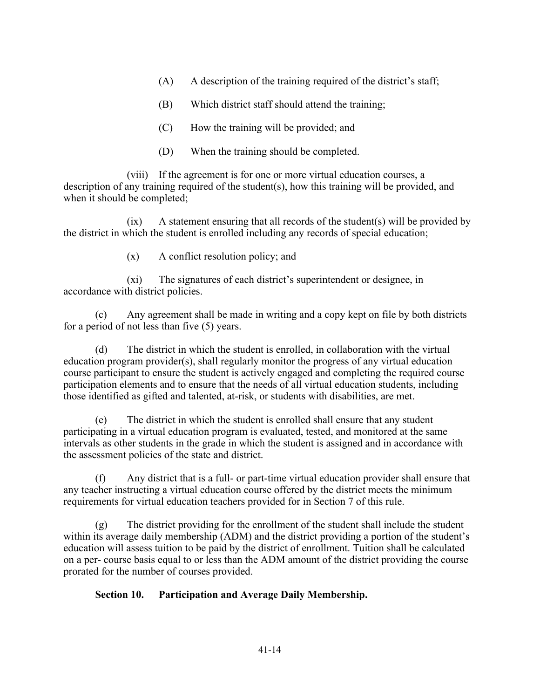- (A) A description of the training required of the district's staff;
- (B) Which district staff should attend the training;
- (C) How the training will be provided; and
- (D) When the training should be completed.

(viii) If the agreement is for one or more virtual education courses, a description of any training required of the student(s), how this training will be provided, and when it should be completed;

 $(ix)$  A statement ensuring that all records of the student(s) will be provided by the district in which the student is enrolled including any records of special education;

(x) A conflict resolution policy; and

(xi) The signatures of each district's superintendent or designee, in accordance with district policies.

(c) Any agreement shall be made in writing and a copy kept on file by both districts for a period of not less than five (5) years.

(d) The district in which the student is enrolled, in collaboration with the virtual education program provider(s), shall regularly monitor the progress of any virtual education course participant to ensure the student is actively engaged and completing the required course participation elements and to ensure that the needs of all virtual education students, including those identified as gifted and talented, at-risk, or students with disabilities, are met.

(e) The district in which the student is enrolled shall ensure that any student participating in a virtual education program is evaluated, tested, and monitored at the same intervals as other students in the grade in which the student is assigned and in accordance with the assessment policies of the state and district.

(f) Any district that is a full- or part-time virtual education provider shall ensure that any teacher instructing a virtual education course offered by the district meets the minimum requirements for virtual education teachers provided for in Section 7 of this rule.

(g) The district providing for the enrollment of the student shall include the student within its average daily membership (ADM) and the district providing a portion of the student's education will assess tuition to be paid by the district of enrollment. Tuition shall be calculated on a per- course basis equal to or less than the ADM amount of the district providing the course prorated for the number of courses provided.

## **Section 10. Participation and Average Daily Membership.**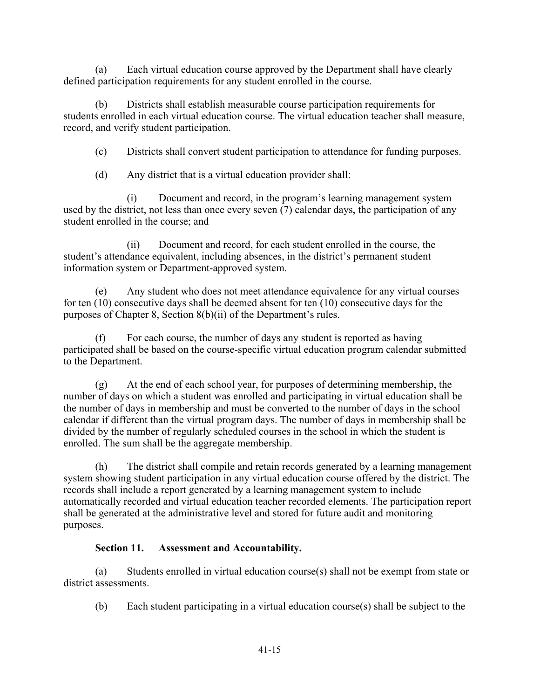(a) Each virtual education course approved by the Department shall have clearly defined participation requirements for any student enrolled in the course.

(b) Districts shall establish measurable course participation requirements for students enrolled in each virtual education course. The virtual education teacher shall measure, record, and verify student participation.

(c) Districts shall convert student participation to attendance for funding purposes.

(d) Any district that is a virtual education provider shall:

(i) Document and record, in the program's learning management system used by the district, not less than once every seven  $(7)$  calendar days, the participation of any student enrolled in the course; and

(ii) Document and record, for each student enrolled in the course, the student's attendance equivalent, including absences, in the district's permanent student information system or Department-approved system.

(e) Any student who does not meet attendance equivalence for any virtual courses for ten (10) consecutive days shall be deemed absent for ten (10) consecutive days for the purposes of Chapter 8, Section 8(b)(ii) of the Department's rules.

(f) For each course, the number of days any student is reported as having participated shall be based on the course-specific virtual education program calendar submitted to the Department.

(g) At the end of each school year, for purposes of determining membership, the number of days on which a student was enrolled and participating in virtual education shall be the number of days in membership and must be converted to the number of days in the school calendar if different than the virtual program days. The number of days in membership shall be divided by the number of regularly scheduled courses in the school in which the student is enrolled. The sum shall be the aggregate membership.

(h) The district shall compile and retain records generated by a learning management system showing student participation in any virtual education course offered by the district. The records shall include a report generated by a learning management system to include automatically recorded and virtual education teacher recorded elements. The participation report shall be generated at the administrative level and stored for future audit and monitoring purposes.

## **Section 11. Assessment and Accountability.**

(a) Students enrolled in virtual education course(s) shall not be exempt from state or district assessments.

(b) Each student participating in a virtual education course(s) shall be subject to the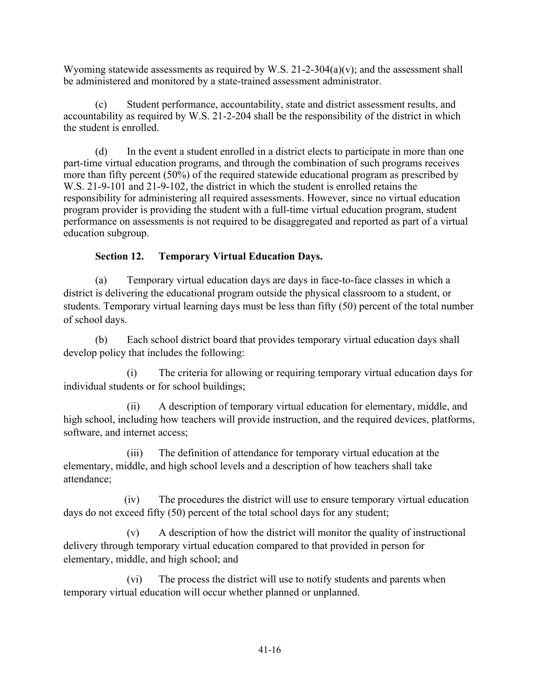Wyoming statewide assessments as required by W.S. 21-2-304(a)(v); and the assessment shall be administered and monitored by a state-trained assessment administrator.

(c) Student performance, accountability, state and district assessment results, and accountability as required by W.S. 21-2-204 shall be the responsibility of the district in which the student is enrolled.

(d) In the event a student enrolled in a district elects to participate in more than one part-time virtual education programs, and through the combination of such programs receives more than fifty percent (50%) of the required statewide educational program as prescribed by W.S. 21-9-101 and 21-9-102, the district in which the student is enrolled retains the responsibility for administering all required assessments. However, since no virtual education program provider is providing the student with a full-time virtual education program, student performance on assessments is not required to be disaggregated and reported as part of a virtual education subgroup.

# **Section 12. Temporary Virtual Education Days.**

(a) Temporary virtual education days are days in face-to-face classes in which a district is delivering the educational program outside the physical classroom to a student, or students. Temporary virtual learning days must be less than fifty (50) percent of the total number of school days.

(b) Each school district board that provides temporary virtual education days shall develop policy that includes the following:

(i) The criteria for allowing or requiring temporary virtual education days for individual students or for school buildings;

(ii) A description of temporary virtual education for elementary, middle, and high school, including how teachers will provide instruction, and the required devices, platforms, software, and internet access;

(iii) The definition of attendance for temporary virtual education at the elementary, middle, and high school levels and a description of how teachers shall take attendance;

(iv) The procedures the district will use to ensure temporary virtual education days do not exceed fifty (50) percent of the total school days for any student;

(v) A description of how the district will monitor the quality of instructional delivery through temporary virtual education compared to that provided in person for elementary, middle, and high school; and

(vi) The process the district will use to notify students and parents when temporary virtual education will occur whether planned or unplanned.